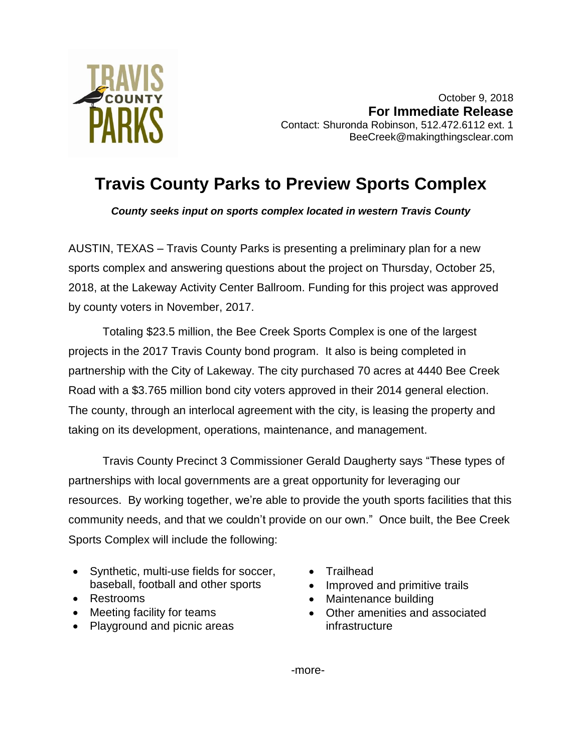

October 9, 2018 **For Immediate Release** Contact: Shuronda Robinson, 512.472.6112 ext. 1 BeeCreek@makingthingsclear.com

## **Travis County Parks to Preview Sports Complex**

*County seeks input on sports complex located in western Travis County*

AUSTIN, TEXAS – Travis County Parks is presenting a preliminary plan for a new sports complex and answering questions about the project on Thursday, October 25, 2018, at the Lakeway Activity Center Ballroom. Funding for this project was approved by county voters in November, 2017.

Totaling \$23.5 million, the Bee Creek Sports Complex is one of the largest projects in the 2017 Travis County bond program. It also is being completed in partnership with the City of Lakeway. The city purchased 70 acres at 4440 Bee Creek Road with a \$3.765 million bond city voters approved in their 2014 general election. The county, through an interlocal agreement with the city, is leasing the property and taking on its development, operations, maintenance, and management.

Travis County Precinct 3 Commissioner Gerald Daugherty says "These types of partnerships with local governments are a great opportunity for leveraging our resources. By working together, we're able to provide the youth sports facilities that this community needs, and that we couldn't provide on our own." Once built, the Bee Creek Sports Complex will include the following:

- Synthetic, multi-use fields for soccer, baseball, football and other sports
- Restrooms
- Meeting facility for teams
- Playground and picnic areas
- Trailhead
- Improved and primitive trails
- Maintenance building
- Other amenities and associated infrastructure

-more-